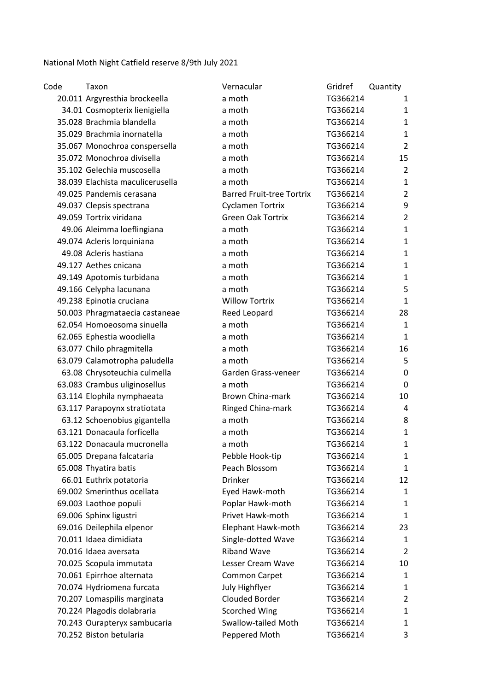National Moth Night Catfield reserve 8/9th July 2021

| Code | Taxon                            | Vernacular                       | Gridref  | Quantity       |
|------|----------------------------------|----------------------------------|----------|----------------|
|      | 20.011 Argyresthia brockeella    | a moth                           | TG366214 | 1              |
|      | 34.01 Cosmopterix lienigiella    | a moth                           | TG366214 | 1              |
|      | 35.028 Brachmia blandella        | a moth                           | TG366214 | 1              |
|      | 35.029 Brachmia inornatella      | a moth                           | TG366214 | $\mathbf{1}$   |
|      | 35.067 Monochroa conspersella    | a moth                           | TG366214 | $\overline{2}$ |
|      | 35.072 Monochroa divisella       | a moth                           | TG366214 | 15             |
|      | 35.102 Gelechia muscosella       | a moth                           | TG366214 | $\overline{2}$ |
|      | 38.039 Elachista maculicerusella | a moth                           | TG366214 | $\mathbf{1}$   |
|      | 49.025 Pandemis cerasana         | <b>Barred Fruit-tree Tortrix</b> | TG366214 | $\overline{2}$ |
|      | 49.037 Clepsis spectrana         | <b>Cyclamen Tortrix</b>          | TG366214 | 9              |
|      | 49.059 Tortrix viridana          | <b>Green Oak Tortrix</b>         | TG366214 | $\overline{2}$ |
|      | 49.06 Aleimma loeflingiana       | a moth                           | TG366214 | $\mathbf{1}$   |
|      | 49.074 Acleris lorquiniana       | a moth                           | TG366214 | $\mathbf{1}$   |
|      | 49.08 Acleris hastiana           | a moth                           | TG366214 | 1              |
|      | 49.127 Aethes cnicana            | a moth                           | TG366214 | 1              |
|      | 49.149 Apotomis turbidana        | a moth                           | TG366214 | $\mathbf{1}$   |
|      | 49.166 Celypha lacunana          | a moth                           | TG366214 | 5              |
|      | 49.238 Epinotia cruciana         | <b>Willow Tortrix</b>            | TG366214 | $\mathbf{1}$   |
|      | 50.003 Phragmataecia castaneae   | Reed Leopard                     | TG366214 | 28             |
|      | 62.054 Homoeosoma sinuella       | a moth                           | TG366214 | $\mathbf{1}$   |
|      | 62.065 Ephestia woodiella        | a moth                           | TG366214 | $\mathbf{1}$   |
|      | 63.077 Chilo phragmitella        | a moth                           | TG366214 | 16             |
|      | 63.079 Calamotropha paludella    | a moth                           | TG366214 | 5              |
|      | 63.08 Chrysoteuchia culmella     | Garden Grass-veneer              | TG366214 | 0              |
|      | 63.083 Crambus uliginosellus     | a moth                           | TG366214 | 0              |
|      | 63.114 Elophila nymphaeata       | <b>Brown China-mark</b>          | TG366214 | 10             |
|      | 63.117 Parapoynx stratiotata     | Ringed China-mark                | TG366214 | 4              |
|      | 63.12 Schoenobius gigantella     | a moth                           | TG366214 | 8              |
|      | 63.121 Donacaula forficella      | a moth                           | TG366214 | $\mathbf{1}$   |
|      | 63.122 Donacaula mucronella      | a moth                           | TG366214 | 1              |
|      | 65.005 Drepana falcataria        | Pebble Hook-tip                  | TG366214 | 1              |
|      | 65.008 Thyatira batis            | Peach Blossom                    | TG366214 | 1              |
|      | 66.01 Euthrix potatoria          | <b>Drinker</b>                   | TG366214 | 12             |
|      | 69.002 Smerinthus ocellata       | Eyed Hawk-moth                   | TG366214 | 1              |
|      | 69.003 Laothoe populi            | Poplar Hawk-moth                 | TG366214 | 1              |
|      | 69.006 Sphinx ligustri           | Privet Hawk-moth                 | TG366214 | 1              |
|      | 69.016 Deilephila elpenor        | Elephant Hawk-moth               | TG366214 | 23             |
|      | 70.011 Idaea dimidiata           | Single-dotted Wave               | TG366214 | $\mathbf{1}$   |
|      | 70.016 Idaea aversata            | <b>Riband Wave</b>               | TG366214 | $\overline{2}$ |
|      | 70.025 Scopula immutata          | Lesser Cream Wave                | TG366214 | 10             |
|      | 70.061 Epirrhoe alternata        | <b>Common Carpet</b>             | TG366214 | 1              |
|      | 70.074 Hydriomena furcata        | July Highflyer                   | TG366214 | 1              |
|      | 70.207 Lomaspilis marginata      | Clouded Border                   | TG366214 | $\overline{2}$ |
|      | 70.224 Plagodis dolabraria       | <b>Scorched Wing</b>             | TG366214 | 1              |
|      | 70.243 Ourapteryx sambucaria     | <b>Swallow-tailed Moth</b>       | TG366214 | 1              |
|      | 70.252 Biston betularia          | Peppered Moth                    | TG366214 | 3              |